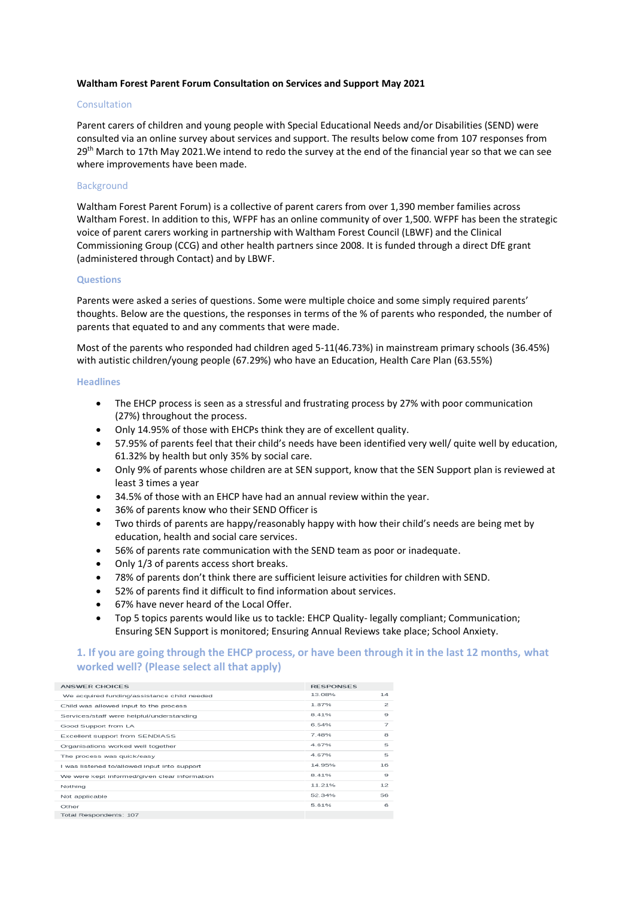#### **Waltham Forest Parent Forum Consultation on Services and Support May 2021**

#### **Consultation**

Parent carers of children and young people with Special Educational Needs and/or Disabilities (SEND) were consulted via an online survey about services and support. The results below come from 107 responses from 29<sup>th</sup> March to 17th May 2021. We intend to redo the survey at the end of the financial year so that we can see where improvements have been made.

#### Background

Waltham Forest Parent Forum) is a collective of parent carers from over 1,390 member families across Waltham Forest. In addition to this, WFPF has an online community of over 1,500. WFPF has been the strategic voice of parent carers working in partnership with Waltham Forest Council (LBWF) and the Clinical Commissioning Group (CCG) and other health partners since 2008. It is funded through a direct DfE grant (administered through Contact) and by LBWF.

#### **Questions**

Parents were asked a series of questions. Some were multiple choice and some simply required parents' thoughts. Below are the questions, the responses in terms of the % of parents who responded, the number of parents that equated to and any comments that were made.

Most of the parents who responded had children aged 5-11(46.73%) in mainstream primary schools (36.45%) with autistic children/young people (67.29%) who have an Education, Health Care Plan (63.55%)

#### **Headlines**

- The EHCP process is seen as a stressful and frustrating process by 27% with poor communication (27%) throughout the process.
- Only 14.95% of those with EHCPs think they are of excellent quality.
- 57.95% of parents feel that their child's needs have been identified very well/ quite well by education, 61.32% by health but only 35% by social care.
- Only 9% of parents whose children are at SEN support, know that the SEN Support plan is reviewed at least 3 times a year
- 34.5% of those with an EHCP have had an annual review within the year.
- 36% of parents know who their SEND Officer is
- Two thirds of parents are happy/reasonably happy with how their child's needs are being met by education, health and social care services.
- 56% of parents rate communication with the SEND team as poor or inadequate.
- Only 1/3 of parents access short breaks.
- 78% of parents don't think there are sufficient leisure activities for children with SEND.
- 52% of parents find it difficult to find information about services.
- 67% have never heard of the Local Offer.
- Top 5 topics parents would like us to tackle: EHCP Quality- legally compliant; Communication; Ensuring SEN Support is monitored; Ensuring Annual Reviews take place; School Anxiety.

### **1. If you are going through the EHCP process, or have been through it in the last 12 months, what worked well? (Please select all that apply)**

| ANSWER CHOICES                                | <b>RESPONSES</b> |                |
|-----------------------------------------------|------------------|----------------|
| We acquired funding/assistance child needed   | 13.08%           | 14             |
| Child was allowed input to the process        | 1.87%            | $\mathfrak{p}$ |
| Services/staff were helpful/understanding     | 8 4 1 %          | 9              |
| Good Support from LA                          | 6.54%            | $\overline{z}$ |
| Excellent support from SENDIASS               | 7.48%            | 8              |
| Organisations worked well together            | 4.67%            | 5              |
| The process was quick/easy                    | 4 67%            | 5              |
| I was listened to/allowed input into support  | 14.95%           | 16             |
| We were kept informed/given clear information | 8.41%            | 9              |
| Nothing                                       | 11.21%           | 12             |
| Not applicable                                | 52 34%           | 56             |
| Other                                         | 5.61%            | 6              |
| Total Respondents: 107                        |                  |                |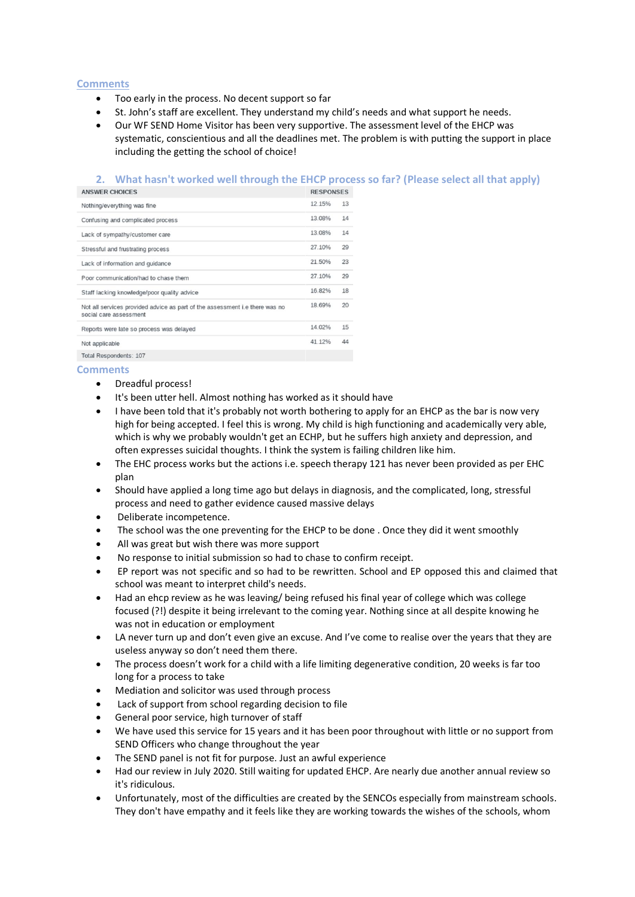# **Comments**

- Too early in the process. No decent support so far
- St. John's staff are excellent. They understand my child's needs and what support he needs.
- Our WF SEND Home Visitor has been very supportive. The assessment level of the EHCP was systematic, conscientious and all the deadlines met. The problem is with putting the support in place including the getting the school of choice!

### **2. What hasn't worked well through the EHCP process so far? (Please select all that apply)**

| <b>ANSWER CHOICES</b>                                                                                 | <b>RESPONSES</b> |    |
|-------------------------------------------------------------------------------------------------------|------------------|----|
| Nothing/everything was fine                                                                           | 12.15%           | 13 |
| Confusing and complicated process                                                                     | 13.08%           | 14 |
| Lack of sympathy/customer care                                                                        | 13.08%           | 14 |
| Stressful and frustrating process                                                                     | 27.10%           | 29 |
| Lack of information and guidance                                                                      | 21.50%           | 23 |
| Poor communication/had to chase them                                                                  | 27.10%           | 29 |
| Staff lacking knowledge/poor quality advice                                                           | 16.82%           | 18 |
| Not all services provided advice as part of the assessment i.e there was no<br>social care assessment | 18.69%           | 20 |
| Reports were late so process was delayed                                                              | 14.02%           | 15 |
| Not applicable                                                                                        | 41.12%           | 44 |
|                                                                                                       |                  |    |

# Total Respondents: 107

- Dreadful process!
- It's been utter hell. Almost nothing has worked as it should have
- I have been told that it's probably not worth bothering to apply for an EHCP as the bar is now very high for being accepted. I feel this is wrong. My child is high functioning and academically very able, which is why we probably wouldn't get an ECHP, but he suffers high anxiety and depression, and often expresses suicidal thoughts. I think the system is failing children like him.
- The EHC process works but the actions i.e. speech therapy 121 has never been provided as per EHC plan
- Should have applied a long time ago but delays in diagnosis, and the complicated, long, stressful process and need to gather evidence caused massive delays
- Deliberate incompetence.
- The school was the one preventing for the EHCP to be done . Once they did it went smoothly
- All was great but wish there was more support
- No response to initial submission so had to chase to confirm receipt.
- EP report was not specific and so had to be rewritten. School and EP opposed this and claimed that school was meant to interpret child's needs.
- Had an ehcp review as he was leaving/ being refused his final year of college which was college focused (?!) despite it being irrelevant to the coming year. Nothing since at all despite knowing he was not in education or employment
- LA never turn up and don't even give an excuse. And I've come to realise over the years that they are useless anyway so don't need them there.
- The process doesn't work for a child with a life limiting degenerative condition, 20 weeks is far too long for a process to take
- Mediation and solicitor was used through process
- Lack of support from school regarding decision to file
- General poor service, high turnover of staff
- We have used this service for 15 years and it has been poor throughout with little or no support from SEND Officers who change throughout the year
- The SEND panel is not fit for purpose. Just an awful experience
- Had our review in July 2020. Still waiting for updated EHCP. Are nearly due another annual review so it's ridiculous.
- Unfortunately, most of the difficulties are created by the SENCOs especially from mainstream schools. They don't have empathy and it feels like they are working towards the wishes of the schools, whom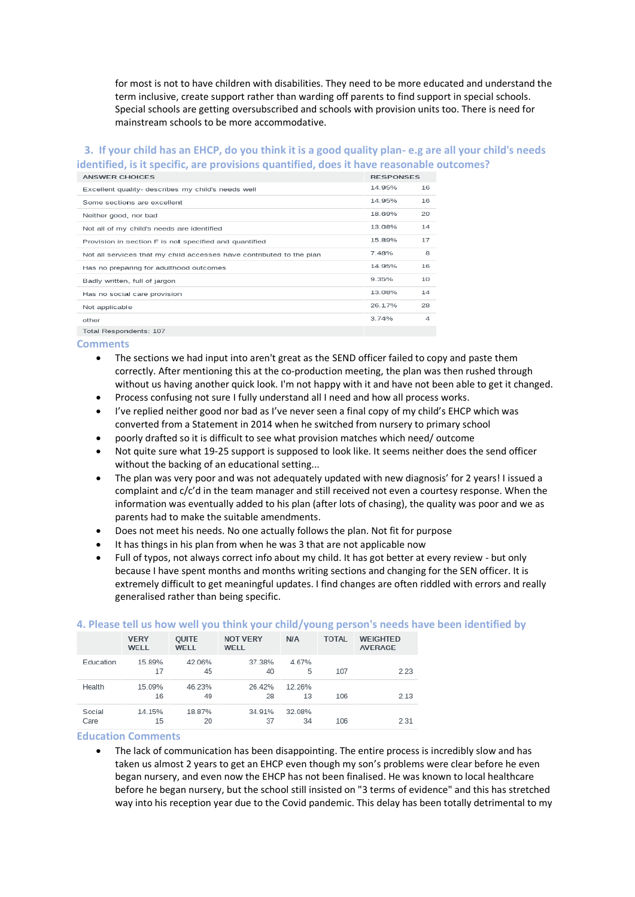for most is not to have children with disabilities. They need to be more educated and understand the term inclusive, create support rather than warding off parents to find support in special schools. Special schools are getting oversubscribed and schools with provision units too. There is need for mainstream schools to be more accommodative.

# **3. If your child has an EHCP, do you think it is a good quality plan- e.g are all your child's needs identified, is it specific, are provisions quantified, does it have reasonable outcomes?**

| <b>ANSWER CHOICES</b>                                                | <b>RESPONSES</b> |    |
|----------------------------------------------------------------------|------------------|----|
| Excellent quality- describes my child's needs well                   | 14.95%           | 16 |
| Some sections are excellent                                          | 14.95%           | 16 |
| Neither good, nor bad                                                | 18.69%           | 20 |
| Not all of my child's needs are identified                           | 13.08%           | 14 |
| Provision in section F is not specified and quantified               | 15.89%           | 17 |
| Not all services that my child accesses have contributed to the plan | 7.48%            | 8  |
| Has no preparing for adulthood outcomes                              | 14.95%           | 16 |
| Badly written, full of jargon                                        | 9.35%            | 10 |
| Has no social care provision                                         | 13.08%           | 14 |
| Not applicable                                                       | 26 17%           | 28 |
| other                                                                | 3.74%            | 4  |
| Total Reconnelante: 107                                              |                  |    |

#### **Comments**

- The sections we had input into aren't great as the SEND officer failed to copy and paste them correctly. After mentioning this at the co-production meeting, the plan was then rushed through without us having another quick look. I'm not happy with it and have not been able to get it changed.
- Process confusing not sure I fully understand all I need and how all process works.
- I've replied neither good nor bad as I've never seen a final copy of my child's EHCP which was converted from a Statement in 2014 when he switched from nursery to primary school
- poorly drafted so it is difficult to see what provision matches which need/ outcome
- Not quite sure what 19-25 support is supposed to look like. It seems neither does the send officer without the backing of an educational setting...
- The plan was very poor and was not adequately updated with new diagnosis' for 2 years! I issued a complaint and c/c'd in the team manager and still received not even a courtesy response. When the information was eventually added to his plan (after lots of chasing), the quality was poor and we as parents had to make the suitable amendments.
- Does not meet his needs. No one actually follows the plan. Not fit for purpose
- It has things in his plan from when he was 3 that are not applicable now
- Full of typos, not always correct info about my child. It has got better at every review but only because I have spent months and months writing sections and changing for the SEN officer. It is extremely difficult to get meaningful updates. I find changes are often riddled with errors and really generalised rather than being specific.

|                | <b>VERY</b><br>WELL | <b>OUITE</b><br>WELL | <b>NOT VERY</b><br>WELL | <b>N/A</b>   | <b>TOTAL</b> | <b>WEIGHTED</b><br><b>AVERAGE</b> |
|----------------|---------------------|----------------------|-------------------------|--------------|--------------|-----------------------------------|
| Education      | 15.89%<br>17        | 42.06%<br>45         | 37.38%<br>40            | 4.67%<br>5   | 107          | 2.23                              |
| Health         | 15.09%<br>16        | 46.23%<br>49         | 26.42%<br>28            | 12.26%<br>13 | 106          | 2.13                              |
| Social<br>Care | 14.15%<br>15        | 18.87%<br>20         | 34.91%<br>37            | 32.08%<br>34 | 106          | 2.31                              |

# **4. Please tell us how well you think your child/young person's needs have been identified by**

#### **Education Comments**

• The lack of communication has been disappointing. The entire process is incredibly slow and has taken us almost 2 years to get an EHCP even though my son's problems were clear before he even began nursery, and even now the EHCP has not been finalised. He was known to local healthcare before he began nursery, but the school still insisted on "3 terms of evidence" and this has stretched way into his reception year due to the Covid pandemic. This delay has been totally detrimental to my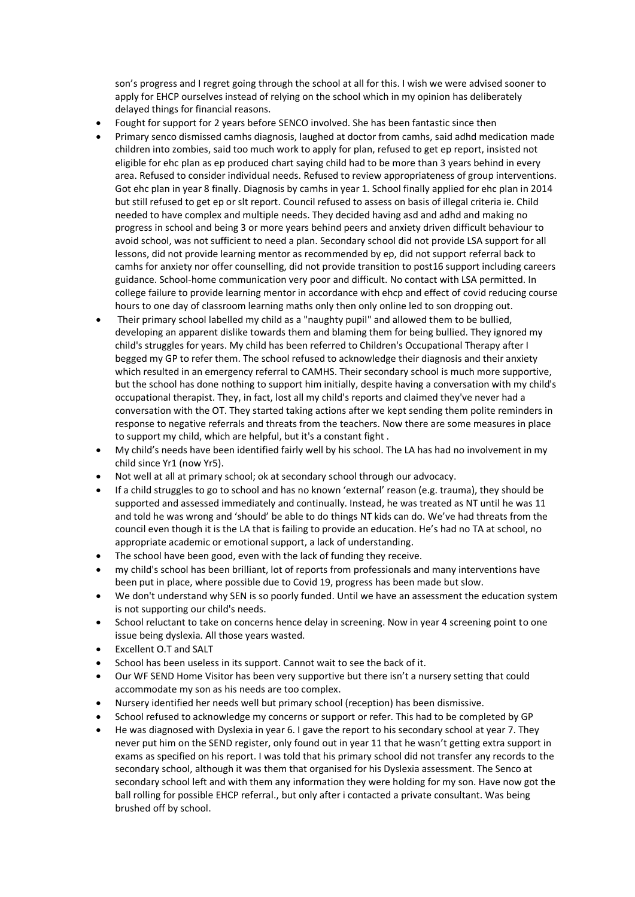son's progress and I regret going through the school at all for this. I wish we were advised sooner to apply for EHCP ourselves instead of relying on the school which in my opinion has deliberately delayed things for financial reasons.

- Fought for support for 2 years before SENCO involved. She has been fantastic since then
- Primary senco dismissed camhs diagnosis, laughed at doctor from camhs, said adhd medication made children into zombies, said too much work to apply for plan, refused to get ep report, insisted not eligible for ehc plan as ep produced chart saying child had to be more than 3 years behind in every area. Refused to consider individual needs. Refused to review appropriateness of group interventions. Got ehc plan in year 8 finally. Diagnosis by camhs in year 1. School finally applied for ehc plan in 2014 but still refused to get ep or slt report. Council refused to assess on basis of illegal criteria ie. Child needed to have complex and multiple needs. They decided having asd and adhd and making no progress in school and being 3 or more years behind peers and anxiety driven difficult behaviour to avoid school, was not sufficient to need a plan. Secondary school did not provide LSA support for all lessons, did not provide learning mentor as recommended by ep, did not support referral back to camhs for anxiety nor offer counselling, did not provide transition to post16 support including careers guidance. School-home communication very poor and difficult. No contact with LSA permitted. In college failure to provide learning mentor in accordance with ehcp and effect of covid reducing course hours to one day of classroom learning maths only then only online led to son dropping out.
- Their primary school labelled my child as a "naughty pupil" and allowed them to be bullied, developing an apparent dislike towards them and blaming them for being bullied. They ignored my child's struggles for years. My child has been referred to Children's Occupational Therapy after I begged my GP to refer them. The school refused to acknowledge their diagnosis and their anxiety which resulted in an emergency referral to CAMHS. Their secondary school is much more supportive, but the school has done nothing to support him initially, despite having a conversation with my child's occupational therapist. They, in fact, lost all my child's reports and claimed they've never had a conversation with the OT. They started taking actions after we kept sending them polite reminders in response to negative referrals and threats from the teachers. Now there are some measures in place to support my child, which are helpful, but it's a constant fight .
- My child's needs have been identified fairly well by his school. The LA has had no involvement in my child since Yr1 (now Yr5).
- Not well at all at primary school; ok at secondary school through our advocacy.
- If a child struggles to go to school and has no known 'external' reason (e.g. trauma), they should be supported and assessed immediately and continually. Instead, he was treated as NT until he was 11 and told he was wrong and 'should' be able to do things NT kids can do. We've had threats from the council even though it is the LA that is failing to provide an education. He's had no TA at school, no appropriate academic or emotional support, a lack of understanding.
- The school have been good, even with the lack of funding they receive.
- my child's school has been brilliant, lot of reports from professionals and many interventions have been put in place, where possible due to Covid 19, progress has been made but slow.
- We don't understand why SEN is so poorly funded. Until we have an assessment the education system is not supporting our child's needs.
- School reluctant to take on concerns hence delay in screening. Now in year 4 screening point to one issue being dyslexia. All those years wasted.
- Excellent O.T and SALT
- School has been useless in its support. Cannot wait to see the back of it.
- Our WF SEND Home Visitor has been very supportive but there isn't a nursery setting that could accommodate my son as his needs are too complex.
- Nursery identified her needs well but primary school (reception) has been dismissive.
- School refused to acknowledge my concerns or support or refer. This had to be completed by GP
- He was diagnosed with Dyslexia in year 6. I gave the report to his secondary school at year 7. They never put him on the SEND register, only found out in year 11 that he wasn't getting extra support in exams as specified on his report. I was told that his primary school did not transfer any records to the secondary school, although it was them that organised for his Dyslexia assessment. The Senco at secondary school left and with them any information they were holding for my son. Have now got the ball rolling for possible EHCP referral., but only after i contacted a private consultant. Was being brushed off by school.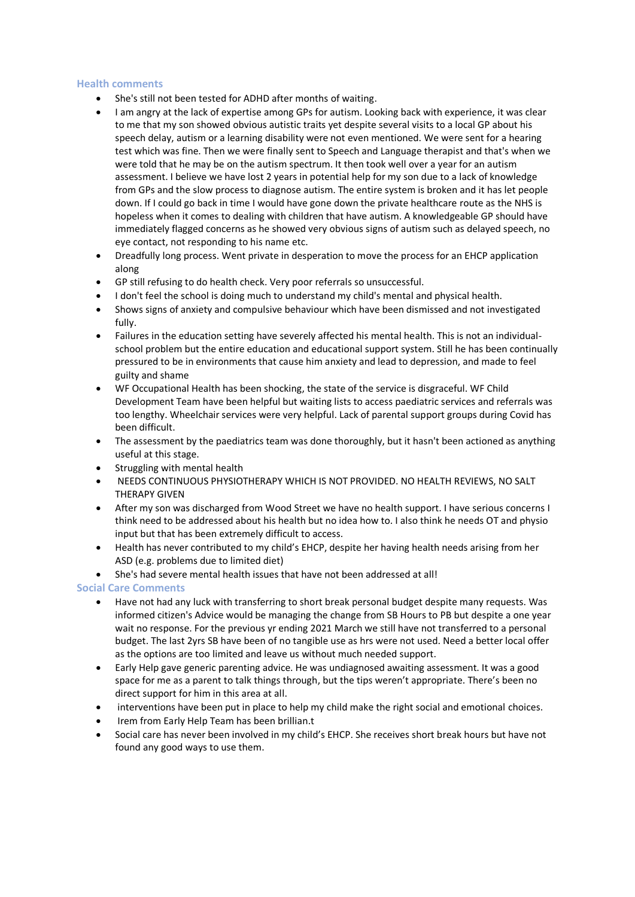### **Health comments**

- She's still not been tested for ADHD after months of waiting.
- I am angry at the lack of expertise among GPs for autism. Looking back with experience, it was clear to me that my son showed obvious autistic traits yet despite several visits to a local GP about his speech delay, autism or a learning disability were not even mentioned. We were sent for a hearing test which was fine. Then we were finally sent to Speech and Language therapist and that's when we were told that he may be on the autism spectrum. It then took well over a year for an autism assessment. I believe we have lost 2 years in potential help for my son due to a lack of knowledge from GPs and the slow process to diagnose autism. The entire system is broken and it has let people down. If I could go back in time I would have gone down the private healthcare route as the NHS is hopeless when it comes to dealing with children that have autism. A knowledgeable GP should have immediately flagged concerns as he showed very obvious signs of autism such as delayed speech, no eye contact, not responding to his name etc.
- Dreadfully long process. Went private in desperation to move the process for an EHCP application along
- GP still refusing to do health check. Very poor referrals so unsuccessful.
- I don't feel the school is doing much to understand my child's mental and physical health.
- Shows signs of anxiety and compulsive behaviour which have been dismissed and not investigated fully.
- Failures in the education setting have severely affected his mental health. This is not an individualschool problem but the entire education and educational support system. Still he has been continually pressured to be in environments that cause him anxiety and lead to depression, and made to feel guilty and shame
- WF Occupational Health has been shocking, the state of the service is disgraceful. WF Child Development Team have been helpful but waiting lists to access paediatric services and referrals was too lengthy. Wheelchair services were very helpful. Lack of parental support groups during Covid has been difficult.
- The assessment by the paediatrics team was done thoroughly, but it hasn't been actioned as anything useful at this stage.
- Struggling with mental health
- NEEDS CONTINUOUS PHYSIOTHERAPY WHICH IS NOT PROVIDED. NO HEALTH REVIEWS, NO SALT THERAPY GIVEN
- After my son was discharged from Wood Street we have no health support. I have serious concerns I think need to be addressed about his health but no idea how to. I also think he needs OT and physio input but that has been extremely difficult to access.
- Health has never contributed to my child's EHCP, despite her having health needs arising from her ASD (e.g. problems due to limited diet)
- She's had severe mental health issues that have not been addressed at all!

# **Social Care Comments**

- Have not had any luck with transferring to short break personal budget despite many requests. Was informed citizen's Advice would be managing the change from SB Hours to PB but despite a one year wait no response. For the previous yr ending 2021 March we still have not transferred to a personal budget. The last 2yrs SB have been of no tangible use as hrs were not used. Need a better local offer as the options are too limited and leave us without much needed support.
- Early Help gave generic parenting advice. He was undiagnosed awaiting assessment. It was a good space for me as a parent to talk things through, but the tips weren't appropriate. There's been no direct support for him in this area at all.
- interventions have been put in place to help my child make the right social and emotional choices.
- Irem from Early Help Team has been brillian.t
- Social care has never been involved in my child's EHCP. She receives short break hours but have not found any good ways to use them.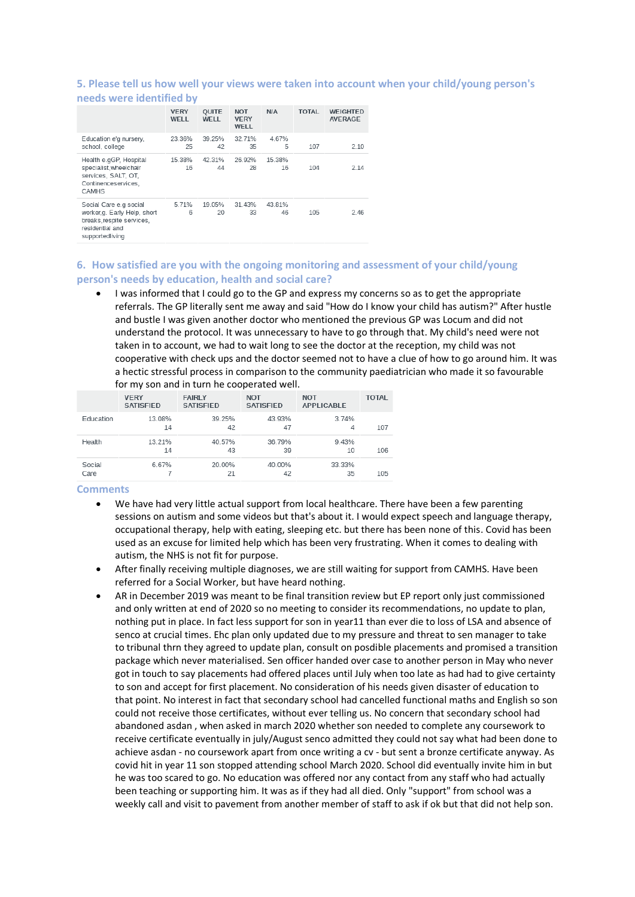#### **5. Please tell us how well your views were taken into account when your child/young person's needs were identified by**

| <b>INCESS WEILD INCITENTIES</b>                                                                                           |                     |                      |                                   |              |              |                                   |
|---------------------------------------------------------------------------------------------------------------------------|---------------------|----------------------|-----------------------------------|--------------|--------------|-----------------------------------|
|                                                                                                                           | <b>VERY</b><br>WELL | <b>OUITE</b><br>WELL | <b>NOT</b><br><b>VERY</b><br>WELL | <b>N/A</b>   | <b>TOTAL</b> | <b>WEIGHTED</b><br><b>AVERAGE</b> |
| Education e'g nursery,<br>school, college                                                                                 | 23.36%<br>25        | 39.25%<br>42         | 32.71%<br>35                      | 4.67%<br>5   | 107          | 2.10                              |
| Health e.gGP, Hospital<br>specialist, wheelchair<br>services, SALT, OT,<br>Continenceservices.<br><b>CAMHS</b>            | 15.38%<br>16        | 42.31%<br>44         | 26.92%<br>28                      | 15.38%<br>16 | 104          | 2.14                              |
| Social Care e.g social<br>worker, g. Early Help, short<br>breaks, respite services,<br>residential and<br>supportedliving | 5.71%<br>6          | 19.05%<br>20         | 31.43%<br>33                      | 43.81%<br>46 | 105          | 2.46                              |

### **6. How satisfied are you with the ongoing monitoring and assessment of your child/young person's needs by education, health and social care?**

• I was informed that I could go to the GP and express my concerns so as to get the appropriate referrals. The GP literally sent me away and said "How do I know your child has autism?" After hustle and bustle I was given another doctor who mentioned the previous GP was Locum and did not understand the protocol. It was unnecessary to have to go through that. My child's need were not taken in to account, we had to wait long to see the doctor at the reception, my child was not cooperative with check ups and the doctor seemed not to have a clue of how to go around him. It was a hectic stressful process in comparison to the community paediatrician who made it so favourable for my son and in turn he cooperated well.

|                | <b>VERY</b><br><b>SATISFIED</b> | <b>FAIRLY</b><br><b>SATISFIED</b> | <b>NOT</b><br><b>SATISFIED</b> | <b>NOT</b><br><b>APPLICABLE</b> | <b>TOTAL</b> |
|----------------|---------------------------------|-----------------------------------|--------------------------------|---------------------------------|--------------|
| Education      | 13.08%<br>14                    | 39.25%<br>42                      | 43.93%<br>47                   | 3.74%<br>4                      | 107          |
| Health         | 13 21%<br>14                    | 40.57%<br>43                      | 36.79%<br>39                   | 9.43%<br>10                     | 106          |
| Social<br>Care | 6.67%                           | 20.00%<br>21                      | 40.00%<br>42                   | 33.33%<br>35                    | 105          |

- We have had very little actual support from local healthcare. There have been a few parenting sessions on autism and some videos but that's about it. I would expect speech and language therapy, occupational therapy, help with eating, sleeping etc. but there has been none of this. Covid has been used as an excuse for limited help which has been very frustrating. When it comes to dealing with autism, the NHS is not fit for purpose.
- After finally receiving multiple diagnoses, we are still waiting for support from CAMHS. Have been referred for a Social Worker, but have heard nothing.
- AR in December 2019 was meant to be final transition review but EP report only just commissioned and only written at end of 2020 so no meeting to consider its recommendations, no update to plan, nothing put in place. In fact less support for son in year11 than ever die to loss of LSA and absence of senco at crucial times. Ehc plan only updated due to my pressure and threat to sen manager to take to tribunal thrn they agreed to update plan, consult on posdible placements and promised a transition package which never materialised. Sen officer handed over case to another person in May who never got in touch to say placements had offered places until July when too late as had had to give certainty to son and accept for first placement. No consideration of his needs given disaster of education to that point. No interest in fact that secondary school had cancelled functional maths and English so son could not receive those certificates, without ever telling us. No concern that secondary school had abandoned asdan , when asked in march 2020 whether son needed to complete any coursework to receive certificate eventually in july/August senco admitted they could not say what had been done to achieve asdan - no coursework apart from once writing a cv - but sent a bronze certificate anyway. As covid hit in year 11 son stopped attending school March 2020. School did eventually invite him in but he was too scared to go. No education was offered nor any contact from any staff who had actually been teaching or supporting him. It was as if they had all died. Only "support" from school was a weekly call and visit to pavement from another member of staff to ask if ok but that did not help son.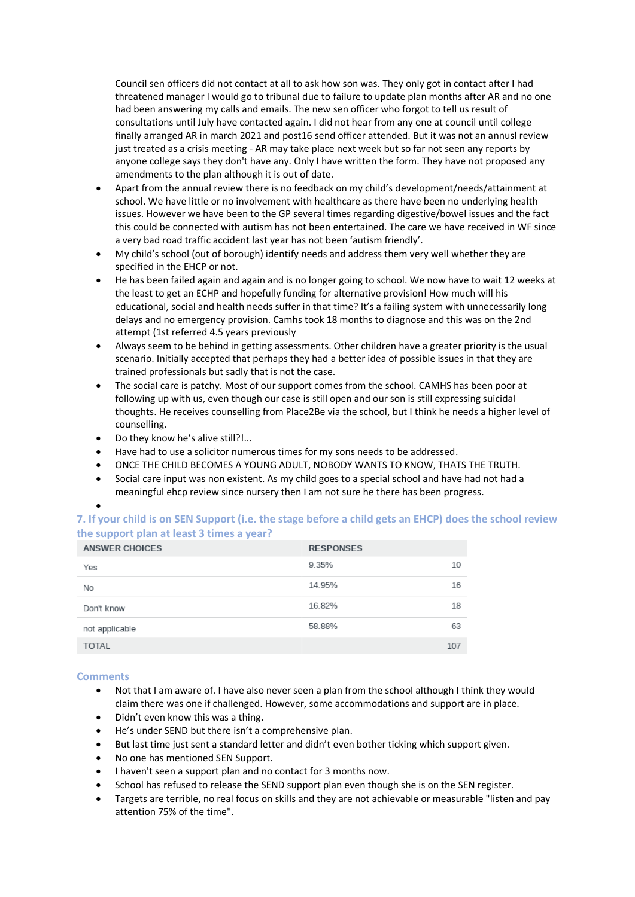Council sen officers did not contact at all to ask how son was. They only got in contact after I had threatened manager I would go to tribunal due to failure to update plan months after AR and no one had been answering my calls and emails. The new sen officer who forgot to tell us result of consultations until July have contacted again. I did not hear from any one at council until college finally arranged AR in march 2021 and post16 send officer attended. But it was not an annusl review just treated as a crisis meeting - AR may take place next week but so far not seen any reports by anyone college says they don't have any. Only I have written the form. They have not proposed any amendments to the plan although it is out of date.

- Apart from the annual review there is no feedback on my child's development/needs/attainment at school. We have little or no involvement with healthcare as there have been no underlying health issues. However we have been to the GP several times regarding digestive/bowel issues and the fact this could be connected with autism has not been entertained. The care we have received in WF since a very bad road traffic accident last year has not been 'autism friendly'.
- My child's school (out of borough) identify needs and address them very well whether they are specified in the EHCP or not.
- He has been failed again and again and is no longer going to school. We now have to wait 12 weeks at the least to get an ECHP and hopefully funding for alternative provision! How much will his educational, social and health needs suffer in that time? It's a failing system with unnecessarily long delays and no emergency provision. Camhs took 18 months to diagnose and this was on the 2nd attempt (1st referred 4.5 years previously
- Always seem to be behind in getting assessments. Other children have a greater priority is the usual scenario. Initially accepted that perhaps they had a better idea of possible issues in that they are trained professionals but sadly that is not the case.
- The social care is patchy. Most of our support comes from the school. CAMHS has been poor at following up with us, even though our case is still open and our son is still expressing suicidal thoughts. He receives counselling from Place2Be via the school, but I think he needs a higher level of counselling.
- Do they know he's alive still?!...
- Have had to use a solicitor numerous times for my sons needs to be addressed.
- ONCE THE CHILD BECOMES A YOUNG ADULT, NOBODY WANTS TO KNOW, THATS THE TRUTH.
- Social care input was non existent. As my child goes to a special school and have had not had a meaningful ehcp review since nursery then I am not sure he there has been progress.

# **7. If your child is on SEN Support (i.e. the stage before a child gets an EHCP) does the school review the support plan at least 3 times a year?**

| <b>ANSWER CHOICES</b> | <b>RESPONSES</b> |     |
|-----------------------|------------------|-----|
| Yes                   | 9.35%            | 10  |
| No                    | 14.95%           | 16  |
| Don't know            | 16.82%           | 18  |
| not applicable        | 58.88%           | 63  |
| <b>TOTAL</b>          |                  | 107 |

# **Comments**

•

- Not that I am aware of. I have also never seen a plan from the school although I think they would claim there was one if challenged. However, some accommodations and support are in place.
- Didn't even know this was a thing.
- He's under SEND but there isn't a comprehensive plan.
- But last time just sent a standard letter and didn't even bother ticking which support given.
- No one has mentioned SEN Support.
- I haven't seen a support plan and no contact for 3 months now.
- School has refused to release the SEND support plan even though she is on the SEN register.
- Targets are terrible, no real focus on skills and they are not achievable or measurable "listen and pay attention 75% of the time".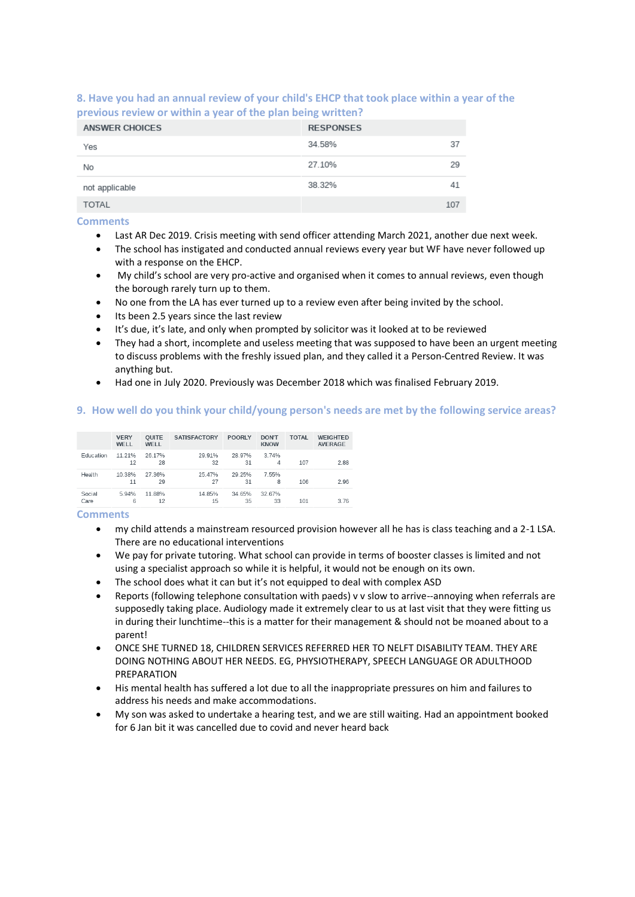**8. Have you had an annual review of your child's EHCP that took place within a year of the previous review or within a year of the plan being written?**

| <b>ANSWER CHOICES</b> | <b>RESPONSES</b> |     |
|-----------------------|------------------|-----|
| Yes                   | 34.58%           | 37  |
| No                    | 27.10%           | 29  |
| not applicable        | 38.32%           | 41  |
| <b>TOTAL</b>          |                  | 107 |

**Comments**

- Last AR Dec 2019. Crisis meeting with send officer attending March 2021, another due next week.
- The school has instigated and conducted annual reviews every year but WF have never followed up with a response on the EHCP.
- My child's school are very pro-active and organised when it comes to annual reviews, even though the borough rarely turn up to them.
- No one from the LA has ever turned up to a review even after being invited by the school.
- Its been 2.5 years since the last review
- It's due, it's late, and only when prompted by solicitor was it looked at to be reviewed
- They had a short, incomplete and useless meeting that was supposed to have been an urgent meeting to discuss problems with the freshly issued plan, and they called it a Person-Centred Review. It was anything but.
- Had one in July 2020. Previously was December 2018 which was finalised February 2019.

#### **9. How well do you think your child/young person's needs are met by the following service areas?**

|                | <b>VERY</b><br>WELL | <b>OUITE</b><br>WELL | <b>SATISFACTORY</b> | <b>POORLY</b> | <b>DON'T</b><br><b>KNOW</b> | <b>TOTAL</b> | <b>WEIGHTED</b><br><b>AVERAGE</b> |
|----------------|---------------------|----------------------|---------------------|---------------|-----------------------------|--------------|-----------------------------------|
| Education      | 11 21%<br>12        | 26.17%<br>28         | 29.91%<br>32        | 28.97%<br>31  | 3.74%<br>4                  | 107          | 2.88                              |
| Health         | 10.38%<br>11        | 27.36%<br>29         | 25.47%<br>27        | 29.25%<br>31  | 7.55%<br>8                  | 106          | 2.96                              |
| Social<br>Care | 5.94%<br>6          | 11.88%<br>12         | 14.85%<br>15        | 34.65%<br>35  | 32.67%<br>33                | 101          | 3 7 6                             |

- my child attends a mainstream resourced provision however all he has is class teaching and a 2-1 LSA. There are no educational interventions
- We pay for private tutoring. What school can provide in terms of booster classes is limited and not using a specialist approach so while it is helpful, it would not be enough on its own.
- The school does what it can but it's not equipped to deal with complex ASD
- Reports (following telephone consultation with paeds) v v slow to arrive--annoying when referrals are supposedly taking place. Audiology made it extremely clear to us at last visit that they were fitting us in during their lunchtime--this is a matter for their management & should not be moaned about to a parent!
- ONCE SHE TURNED 18, CHILDREN SERVICES REFERRED HER TO NELFT DISABILITY TEAM. THEY ARE DOING NOTHING ABOUT HER NEEDS. EG, PHYSIOTHERAPY, SPEECH LANGUAGE OR ADULTHOOD PREPARATION
- His mental health has suffered a lot due to all the inappropriate pressures on him and failures to address his needs and make accommodations.
- My son was asked to undertake a hearing test, and we are still waiting. Had an appointment booked for 6 Jan bit it was cancelled due to covid and never heard back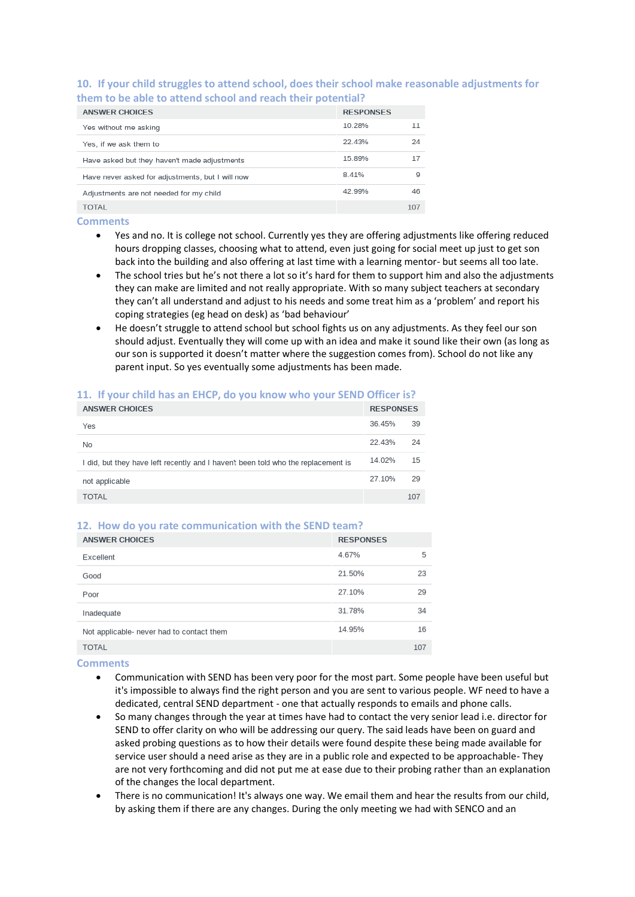# **10. If your child struggles to attend school, does their school make reasonable adjustments for them to be able to attend school and reach their potential?**

| <b>ANSWER CHOICES</b>                            | <b>RESPONSES</b> |     |
|--------------------------------------------------|------------------|-----|
| Yes without me asking                            | 10.28%           | 11  |
| Yes, if we ask them to                           | 22.43%           | 24  |
| Have asked but they haven't made adjustments     | 15.89%           | 17  |
| Have never asked for adjustments, but I will now | 8.41%            | 9   |
| Adjustments are not needed for my child          | 42.99%           | 46  |
| TOTAL                                            |                  | 107 |

#### **Comments**

- Yes and no. It is college not school. Currently yes they are offering adjustments like offering reduced hours dropping classes, choosing what to attend, even just going for social meet up just to get son back into the building and also offering at last time with a learning mentor- but seems all too late.
- The school tries but he's not there a lot so it's hard for them to support him and also the adjustments they can make are limited and not really appropriate. With so many subject teachers at secondary they can't all understand and adjust to his needs and some treat him as a 'problem' and report his coping strategies (eg head on desk) as 'bad behaviour'
- He doesn't struggle to attend school but school fights us on any adjustments. As they feel our son should adjust. Eventually they will come up with an idea and make it sound like their own (as long as our son is supported it doesn't matter where the suggestion comes from). School do not like any parent input. So yes eventually some adjustments has been made.

| <b>ANSWER CHOICES</b>                                                             | <b>RESPONSES</b> |     |
|-----------------------------------------------------------------------------------|------------------|-----|
| Yes                                                                               | 36.45%           | 39  |
| No                                                                                | 22.43%           | 24  |
| I did, but they have left recently and I haven't been told who the replacement is | 14.02%           | 15  |
| not applicable                                                                    | 27.10%           | 29  |
| <b>TOTAL</b>                                                                      |                  | 107 |
|                                                                                   |                  |     |

# **11. If your child has an EHCP, do you know who your SEND Officer is?**

#### **12. How do you rate communication with the SEND team?**

| <b>ANSWER CHOICES</b>                     | <b>RESPONSES</b> |     |
|-------------------------------------------|------------------|-----|
| Excellent                                 | 4.67%            | 5   |
| Good                                      | 21.50%           | 23  |
| Poor                                      | 27.10%           | 29  |
| Inadequate                                | 31.78%           | 34  |
| Not applicable- never had to contact them | 14.95%           | 16  |
| <b>TOTAL</b>                              |                  | 107 |

- Communication with SEND has been very poor for the most part. Some people have been useful but it's impossible to always find the right person and you are sent to various people. WF need to have a dedicated, central SEND department - one that actually responds to emails and phone calls.
- So many changes through the year at times have had to contact the very senior lead i.e. director for SEND to offer clarity on who will be addressing our query. The said leads have been on guard and asked probing questions as to how their details were found despite these being made available for service user should a need arise as they are in a public role and expected to be approachable- They are not very forthcoming and did not put me at ease due to their probing rather than an explanation of the changes the local department.
- There is no communication! It's always one way. We email them and hear the results from our child, by asking them if there are any changes. During the only meeting we had with SENCO and an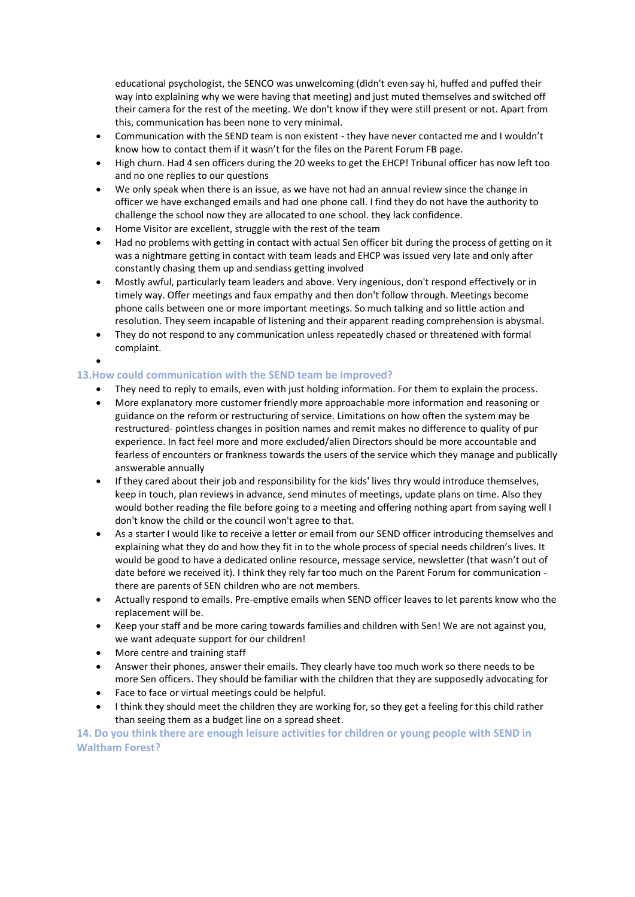educational psychologist, the SENCO was unwelcoming (didn't even say hi, huffed and puffed their way into explaining why we were having that meeting) and just muted themselves and switched off their camera for the rest of the meeting. We don't know if they were still present or not. Apart from this, communication has been none to very minimal.

- Communication with the SEND team is non existent they have never contacted me and I wouldn't know how to contact them if it wasn't for the files on the Parent Forum FB page.
- High churn. Had 4 sen officers during the 20 weeks to get the EHCP! Tribunal officer has now left too and no one replies to our questions
- We only speak when there is an issue, as we have not had an annual review since the change in officer we have exchanged emails and had one phone call. I find they do not have the authority to challenge the school now they are allocated to one school. they lack confidence.
- Home Visitor are excellent, struggle with the rest of the team
- Had no problems with getting in contact with actual Sen officer bit during the process of getting on it was a nightmare getting in contact with team leads and EHCP was issued very late and only after constantly chasing them up and sendiass getting involved
- Mostly awful, particularly team leaders and above. Very ingenious, don't respond effectively or in timely way. Offer meetings and faux empathy and then don't follow through. Meetings become phone calls between one or more important meetings. So much talking and so little action and resolution. They seem incapable of listening and their apparent reading comprehension is abysmal.
- They do not respond to any communication unless repeatedly chased or threatened with formal complaint.

# **13.How could communication with the SEND team be improved?**

- They need to reply to emails, even with just holding information. For them to explain the process.
- More explanatory more customer friendly more approachable more information and reasoning or guidance on the reform or restructuring of service. Limitations on how often the system may be restructured- pointless changes in position names and remit makes no difference to quality of pur experience. In fact feel more and more excluded/alien Directors should be more accountable and fearless of encounters or frankness towards the users of the service which they manage and publically answerable annually
- If they cared about their job and responsibility for the kids' lives thry would introduce themselves, keep in touch, plan reviews in advance, send minutes of meetings, update plans on time. Also they would bother reading the file before going to a meeting and offering nothing apart from saying well I don't know the child or the council won't agree to that.
- As a starter I would like to receive a letter or email from our SEND officer introducing themselves and explaining what they do and how they fit in to the whole process of special needs children's lives. It would be good to have a dedicated online resource, message service, newsletter (that wasn't out of date before we received it). I think they rely far too much on the Parent Forum for communication there are parents of SEN children who are not members.
- Actually respond to emails. Pre-emptive emails when SEND officer leaves to let parents know who the replacement will be.
- Keep your staff and be more caring towards families and children with Sen! We are not against you, we want adequate support for our children!
- More centre and training staff

•

- Answer their phones, answer their emails. They clearly have too much work so there needs to be more Sen officers. They should be familiar with the children that they are supposedly advocating for
- Face to face or virtual meetings could be helpful.
- I think they should meet the children they are working for, so they get a feeling for this child rather than seeing them as a budget line on a spread sheet.

**14. Do you think there are enough leisure activities for children or young people with SEND in Waltham Forest?**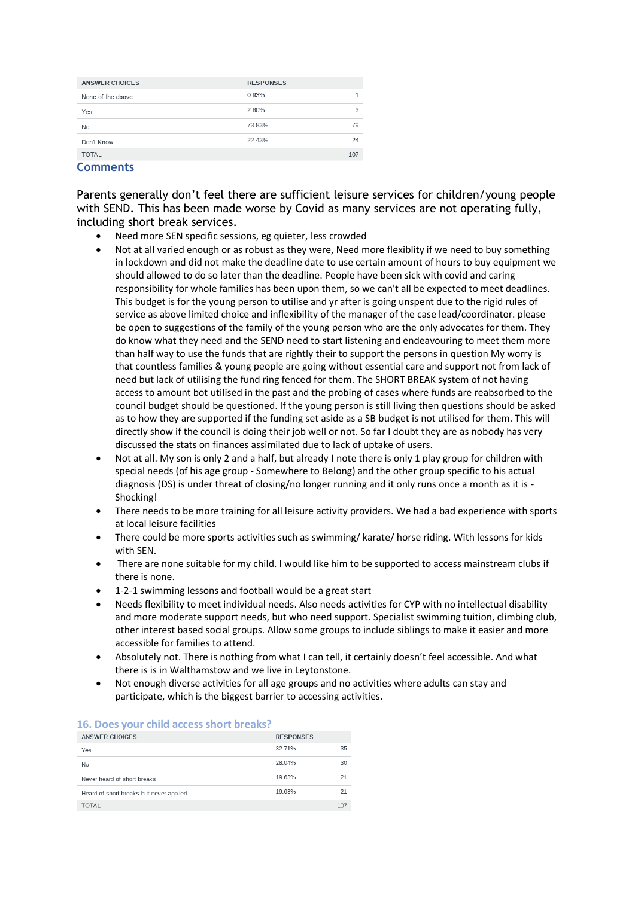| <b>ANSWER CHOICES</b> | <b>RESPONSES</b> |     |
|-----------------------|------------------|-----|
| None of the above     | 0.93%            |     |
| Yes                   | 2.80%            | 3   |
| No                    | 73.83%           | 79  |
| Don't Know            | 22.43%           | 24  |
| <b>TOTAL</b>          |                  | 107 |
|                       |                  |     |

### **Comments**

Parents generally don't feel there are sufficient leisure services for children/young people with SEND. This has been made worse by Covid as many services are not operating fully, including short break services.

- Need more SEN specific sessions, eg quieter, less crowded
- Not at all varied enough or as robust as they were, Need more flexiblity if we need to buy something in lockdown and did not make the deadline date to use certain amount of hours to buy equipment we should allowed to do so later than the deadline. People have been sick with covid and caring responsibility for whole families has been upon them, so we can't all be expected to meet deadlines. This budget is for the young person to utilise and yr after is going unspent due to the rigid rules of service as above limited choice and inflexibility of the manager of the case lead/coordinator. please be open to suggestions of the family of the young person who are the only advocates for them. They do know what they need and the SEND need to start listening and endeavouring to meet them more than half way to use the funds that are rightly their to support the persons in question My worry is that countless families & young people are going without essential care and support not from lack of need but lack of utilising the fund ring fenced for them. The SHORT BREAK system of not having access to amount bot utilised in the past and the probing of cases where funds are reabsorbed to the council budget should be questioned. If the young person is still living then questions should be asked as to how they are supported if the funding set aside as a SB budget is not utilised for them. This will directly show if the council is doing their job well or not. So far I doubt they are as nobody has very discussed the stats on finances assimilated due to lack of uptake of users.
- Not at all. My son is only 2 and a half, but already I note there is only 1 play group for children with special needs (of his age group - Somewhere to Belong) and the other group specific to his actual diagnosis (DS) is under threat of closing/no longer running and it only runs once a month as it is - Shocking!
- There needs to be more training for all leisure activity providers. We had a bad experience with sports at local leisure facilities
- There could be more sports activities such as swimming/ karate/ horse riding. With lessons for kids with SEN.
- There are none suitable for my child. I would like him to be supported to access mainstream clubs if there is none.
- 1-2-1 swimming lessons and football would be a great start
- Needs flexibility to meet individual needs. Also needs activities for CYP with no intellectual disability and more moderate support needs, but who need support. Specialist swimming tuition, climbing club, other interest based social groups. Allow some groups to include siblings to make it easier and more accessible for families to attend.
- Absolutely not. There is nothing from what I can tell, it certainly doesn't feel accessible. And what there is is in Walthamstow and we live in Leytonstone.
- Not enough diverse activities for all age groups and no activities where adults can stay and participate, which is the biggest barrier to accessing activities.

| <b>ANSWER CHOICES</b>                   | <b>RESPONSES</b> |     |  |  |
|-----------------------------------------|------------------|-----|--|--|
| Yes                                     | 32.71%           | 35  |  |  |
| No                                      | 28.04%           | 30  |  |  |
| Never heard of short breaks             | 19.63%           | 21  |  |  |
| Heard of short breaks but never applied | 19.63%           | 21  |  |  |
| <b>TOTAL</b>                            |                  | 107 |  |  |

#### **16. Does your child access short breaks?**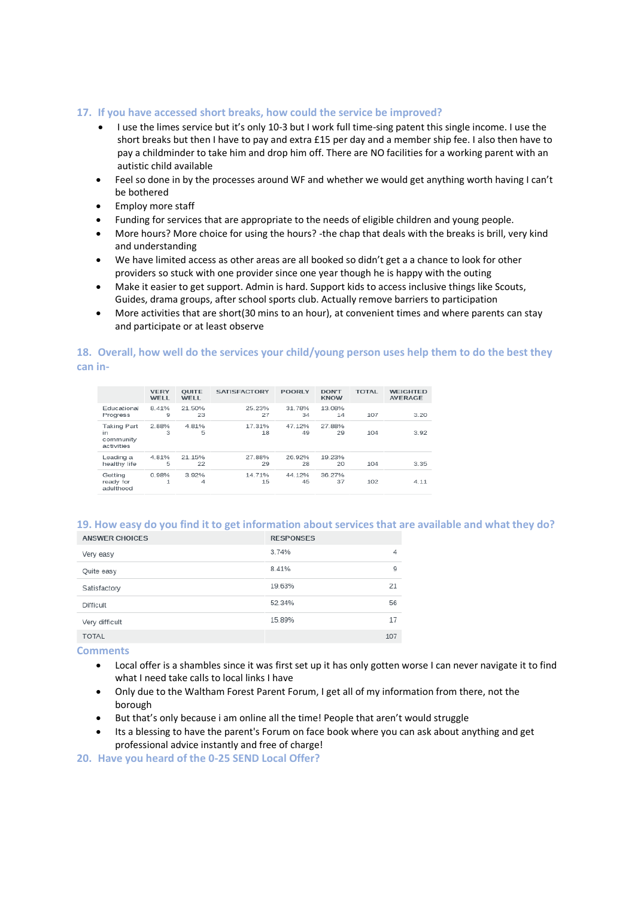### **17. If you have accessed short breaks, how could the service be improved?**

- I use the limes service but it's only 10-3 but I work full time-sing patent this single income. I use the short breaks but then I have to pay and extra £15 per day and a member ship fee. I also then have to pay a childminder to take him and drop him off. There are NO facilities for a working parent with an autistic child available
- Feel so done in by the processes around WF and whether we would get anything worth having I can't be bothered
- Employ more staff
- Funding for services that are appropriate to the needs of eligible children and young people.
- More hours? More choice for using the hours? -the chap that deals with the breaks is brill, very kind and understanding
- We have limited access as other areas are all booked so didn't get a a chance to look for other providers so stuck with one provider since one year though he is happy with the outing
- Make it easier to get support. Admin is hard. Support kids to access inclusive things like Scouts, Guides, drama groups, after school sports club. Actually remove barriers to participation
- More activities that are short(30 mins to an hour), at convenient times and where parents can stay and participate or at least observe

### **18. Overall, how well do the services your child/young person uses help them to do the best they can in-**

|                                              | <b>VERY</b><br>WELL   | <b>OUITE</b><br>WFI I | <b>SATISFACTORY</b> | <b>POORLY</b> | <b>DON'T</b><br><b>KNOW</b> | <b>TOTAL</b> | <b>WEIGHTED</b><br><b>AVERAGE</b> |
|----------------------------------------------|-----------------------|-----------------------|---------------------|---------------|-----------------------------|--------------|-----------------------------------|
| Fducational<br>Progress                      | 8.41%<br>9            | 21.50%<br>23          | 25.23%<br>27        | 31 78%<br>34  | 13.08%<br>14                | 107          | 3.20                              |
| Taking Part<br>in<br>community<br>activities | 2.88%<br>3            | 4.81%<br>5            | 17.31%<br>18        | 47.12%<br>49  | 27.88%<br>29                | 104          | 3.92                              |
| Leading a<br>healthy life                    | 4.81%<br>5            | 21.15%<br>22          | 27.88%<br>29        | 26.92%<br>28  | 19.23%<br>20                | 104          | 3.35                              |
| Getting<br>ready for<br>adulthood            | 0.98%<br>$\mathbf{1}$ | 3.92%<br>4            | 14.71%<br>15        | 44.12%<br>45  | 36.27%<br>37                | 102          | 4.11                              |

# **19. How easy do you find it to get information about services that are available and what they do?**

| ANSWER CHOICES | <b>RESPONSES</b> |     |
|----------------|------------------|-----|
| Very easy      | 3.74%            | 4   |
| Quite easy     | 8.41%            | 9   |
| Satisfactory   | 19.63%           | 21  |
| Difficult      | 52.34%           | 56  |
| Very difficult | 15.89%           | 17  |
| <b>TOTAL</b>   |                  | 107 |

**Comments**

- Local offer is a shambles since it was first set up it has only gotten worse I can never navigate it to find what I need take calls to local links I have
- Only due to the Waltham Forest Parent Forum, I get all of my information from there, not the borough
- But that's only because i am online all the time! People that aren't would struggle
- Its a blessing to have the parent's Forum on face book where you can ask about anything and get professional advice instantly and free of charge!

**20. Have you heard of the 0-25 SEND Local Offer?**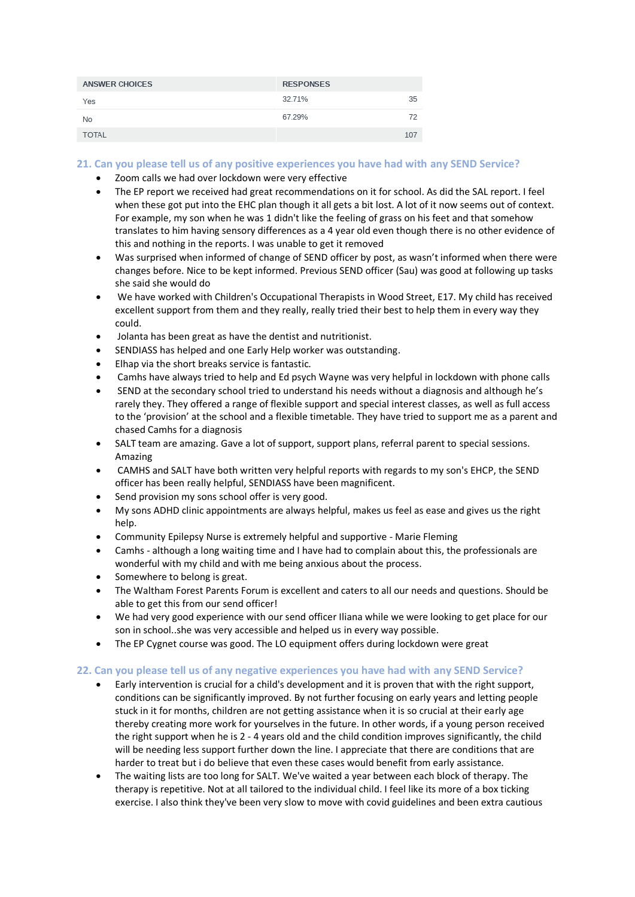| <b>ANSWER CHOICES</b> | <b>RESPONSES</b> |     |
|-----------------------|------------------|-----|
| Yes                   | 32.71%           | 35  |
| No                    | 67.29%           | 72  |
| <b>TOTAL</b>          |                  | 107 |

# **21. Can you please tell us of any positive experiences you have had with any SEND Service?**

- Zoom calls we had over lockdown were very effective
- The EP report we received had great recommendations on it for school. As did the SAL report. I feel when these got put into the EHC plan though it all gets a bit lost. A lot of it now seems out of context. For example, my son when he was 1 didn't like the feeling of grass on his feet and that somehow translates to him having sensory differences as a 4 year old even though there is no other evidence of this and nothing in the reports. I was unable to get it removed
- Was surprised when informed of change of SEND officer by post, as wasn't informed when there were changes before. Nice to be kept informed. Previous SEND officer (Sau) was good at following up tasks she said she would do
- We have worked with Children's Occupational Therapists in Wood Street, E17. My child has received excellent support from them and they really, really tried their best to help them in every way they could.
- Jolanta has been great as have the dentist and nutritionist.
- SENDIASS has helped and one Early Help worker was outstanding.
- Elhap via the short breaks service is fantastic.
- Camhs have always tried to help and Ed psych Wayne was very helpful in lockdown with phone calls
- SEND at the secondary school tried to understand his needs without a diagnosis and although he's rarely they. They offered a range of flexible support and special interest classes, as well as full access to the 'provision' at the school and a flexible timetable. They have tried to support me as a parent and chased Camhs for a diagnosis
- SALT team are amazing. Gave a lot of support, support plans, referral parent to special sessions. Amazing
- CAMHS and SALT have both written very helpful reports with regards to my son's EHCP, the SEND officer has been really helpful, SENDIASS have been magnificent.
- Send provision my sons school offer is very good.
- My sons ADHD clinic appointments are always helpful, makes us feel as ease and gives us the right help.
- Community Epilepsy Nurse is extremely helpful and supportive Marie Fleming
- Camhs although a long waiting time and I have had to complain about this, the professionals are wonderful with my child and with me being anxious about the process.
- Somewhere to belong is great.
- The Waltham Forest Parents Forum is excellent and caters to all our needs and questions. Should be able to get this from our send officer!
- We had very good experience with our send officer Iliana while we were looking to get place for our son in school..she was very accessible and helped us in every way possible.
- The EP Cygnet course was good. The LO equipment offers during lockdown were great

# **22. Can you please tell us of any negative experiences you have had with any SEND Service?**

- Early intervention is crucial for a child's development and it is proven that with the right support, conditions can be significantly improved. By not further focusing on early years and letting people stuck in it for months, children are not getting assistance when it is so crucial at their early age thereby creating more work for yourselves in the future. In other words, if a young person received the right support when he is 2 - 4 years old and the child condition improves significantly, the child will be needing less support further down the line. I appreciate that there are conditions that are harder to treat but i do believe that even these cases would benefit from early assistance.
- The waiting lists are too long for SALT. We've waited a year between each block of therapy. The therapy is repetitive. Not at all tailored to the individual child. I feel like its more of a box ticking exercise. I also think they've been very slow to move with covid guidelines and been extra cautious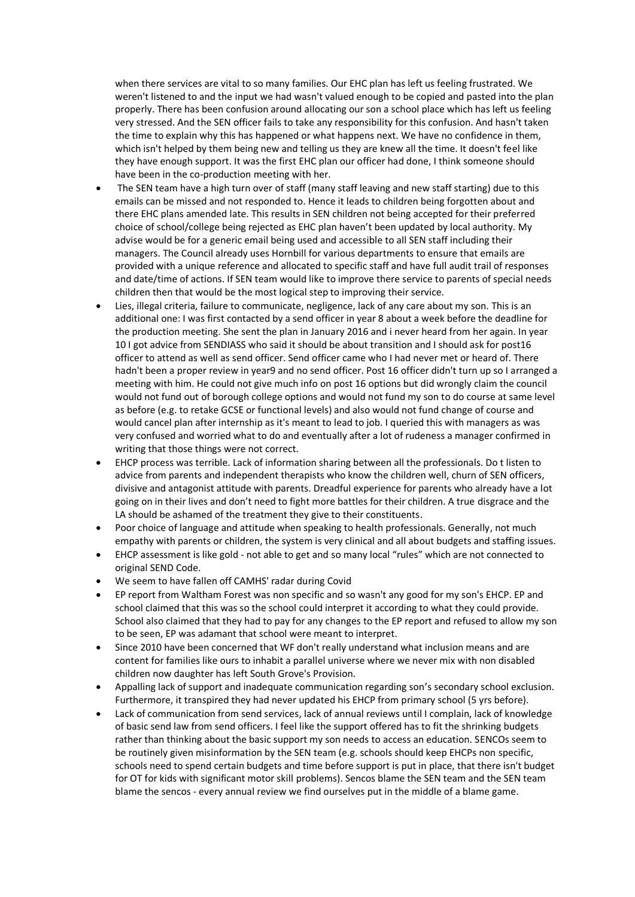when there services are vital to so many families. Our EHC plan has left us feeling frustrated. We weren't listened to and the input we had wasn't valued enough to be copied and pasted into the plan properly. There has been confusion around allocating our son a school place which has left us feeling very stressed. And the SEN officer fails to take any responsibility for this confusion. And hasn't taken the time to explain why this has happened or what happens next. We have no confidence in them, which isn't helped by them being new and telling us they are knew all the time. It doesn't feel like they have enough support. It was the first EHC plan our officer had done, I think someone should have been in the co-production meeting with her.

- The SEN team have a high turn over of staff (many staff leaving and new staff starting) due to this emails can be missed and not responded to. Hence it leads to children being forgotten about and there EHC plans amended late. This results in SEN children not being accepted for their preferred choice of school/college being rejected as EHC plan haven't been updated by local authority. My advise would be for a generic email being used and accessible to all SEN staff including their managers. The Council already uses Hornbill for various departments to ensure that emails are provided with a unique reference and allocated to specific staff and have full audit trail of responses and date/time of actions. If SEN team would like to improve there service to parents of special needs children then that would be the most logical step to improving their service.
- Lies, illegal criteria, failure to communicate, negligence, lack of any care about my son. This is an additional one: I was first contacted by a send officer in year 8 about a week before the deadline for the production meeting. She sent the plan in January 2016 and i never heard from her again. In year 10 I got advice from SENDIASS who said it should be about transition and I should ask for post16 officer to attend as well as send officer. Send officer came who I had never met or heard of. There hadn't been a proper review in year9 and no send officer. Post 16 officer didn't turn up so I arranged a meeting with him. He could not give much info on post 16 options but did wrongly claim the council would not fund out of borough college options and would not fund my son to do course at same level as before (e.g. to retake GCSE or functional levels) and also would not fund change of course and would cancel plan after internship as it's meant to lead to job. I queried this with managers as was very confused and worried what to do and eventually after a lot of rudeness a manager confirmed in writing that those things were not correct.
- EHCP process was terrible. Lack of information sharing between all the professionals. Do t listen to advice from parents and independent therapists who know the children well, churn of SEN officers, divisive and antagonist attitude with parents. Dreadful experience for parents who already have a lot going on in their lives and don't need to fight more battles for their children. A true disgrace and the LA should be ashamed of the treatment they give to their constituents.
- Poor choice of language and attitude when speaking to health professionals. Generally, not much empathy with parents or children, the system is very clinical and all about budgets and staffing issues.
- EHCP assessment is like gold not able to get and so many local "rules" which are not connected to original SEND Code.
- We seem to have fallen off CAMHS' radar during Covid
- EP report from Waltham Forest was non specific and so wasn't any good for my son's EHCP. EP and school claimed that this was so the school could interpret it according to what they could provide. School also claimed that they had to pay for any changes to the EP report and refused to allow my son to be seen, EP was adamant that school were meant to interpret.
- Since 2010 have been concerned that WF don't really understand what inclusion means and are content for families like ours to inhabit a parallel universe where we never mix with non disabled children now daughter has left South Grove's Provision.
- Appalling lack of support and inadequate communication regarding son's secondary school exclusion. Furthermore, it transpired they had never updated his EHCP from primary school (5 yrs before).
- Lack of communication from send services, lack of annual reviews until I complain, lack of knowledge of basic send law from send officers. I feel like the support offered has to fit the shrinking budgets rather than thinking about the basic support my son needs to access an education. SENCOs seem to be routinely given misinformation by the SEN team (e.g. schools should keep EHCPs non specific, schools need to spend certain budgets and time before support is put in place, that there isn't budget for OT for kids with significant motor skill problems). Sencos blame the SEN team and the SEN team blame the sencos - every annual review we find ourselves put in the middle of a blame game.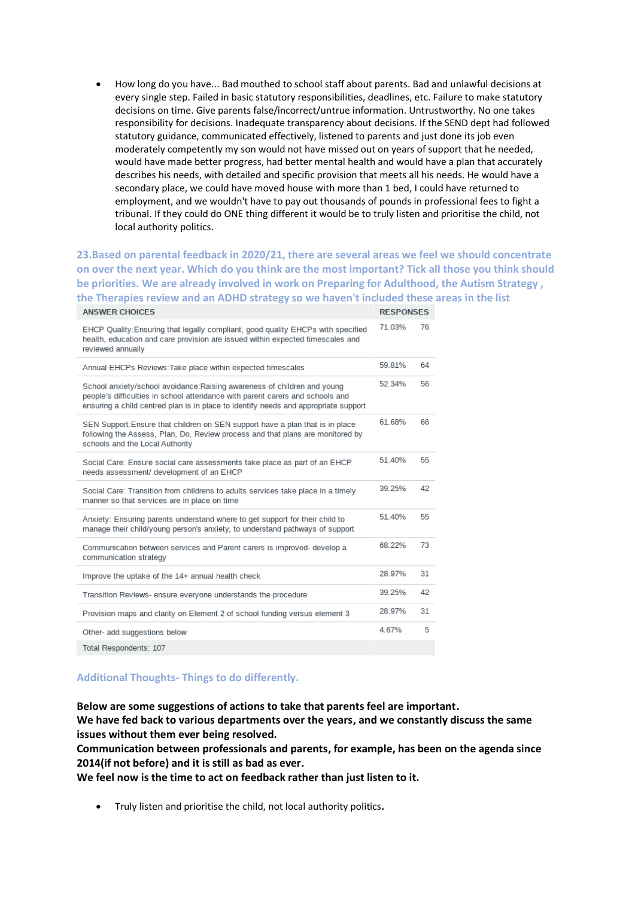• How long do you have... Bad mouthed to school staff about parents. Bad and unlawful decisions at every single step. Failed in basic statutory responsibilities, deadlines, etc. Failure to make statutory decisions on time. Give parents false/incorrect/untrue information. Untrustworthy. No one takes responsibility for decisions. Inadequate transparency about decisions. If the SEND dept had followed statutory guidance, communicated effectively, listened to parents and just done its job even moderately competently my son would not have missed out on years of support that he needed, would have made better progress, had better mental health and would have a plan that accurately describes his needs, with detailed and specific provision that meets all his needs. He would have a secondary place, we could have moved house with more than 1 bed, I could have returned to employment, and we wouldn't have to pay out thousands of pounds in professional fees to fight a tribunal. If they could do ONE thing different it would be to truly listen and prioritise the child, not local authority politics.

#### **23.Based on parental feedback in 2020/21, there are several areas we feel we should concentrate on over the next year. Which do you think are the most important? Tick all those you think should be priorities. We are already involved in work on Preparing for Adulthood, the Autism Strategy , the Therapies review and an ADHD strategy so we haven't included these areas in the list** ANSWER CHOICES **RESPONSES**

| EHCP Quality: Ensuring that legally compliant, good quality EHCPs with specified<br>health, education and care provision are issued within expected timescales and<br>reviewed annually                                                         | 71.03% | 76 |
|-------------------------------------------------------------------------------------------------------------------------------------------------------------------------------------------------------------------------------------------------|--------|----|
| Annual EHCPs Reviews: Take place within expected timescales                                                                                                                                                                                     | 59.81% | 64 |
| School anxiety/school avoidance:Raising awareness of children and young<br>people's difficulties in school attendance with parent carers and schools and<br>ensuring a child centred plan is in place to identify needs and appropriate support | 52.34% | 56 |
| SEN Support:Ensure that children on SEN support have a plan that is in place<br>following the Assess, Plan, Do, Review process and that plans are monitored by<br>schools and the Local Authority                                               | 61.68% | 66 |
| Social Care: Ensure social care assessments take place as part of an EHCP<br>needs assessment/ development of an EHCP                                                                                                                           | 51 40% | 55 |
| Social Care: Transition from childrens to adults services take place in a timely<br>manner so that services are in place on time                                                                                                                | 39 25% | 42 |
| Anxiety: Ensuring parents understand where to get support for their child to<br>manage their child/young person's anxiety, to understand pathways of support                                                                                    | 51 40% | 55 |
| Communication between services and Parent carers is improved- develop a<br>communication strategy                                                                                                                                               | 68 22% | 73 |
| Improve the uptake of the 14+ annual health check                                                                                                                                                                                               | 28.97% | 31 |
| Transition Reviews- ensure everyone understands the procedure                                                                                                                                                                                   | 39.25% | 42 |
| Provision maps and clarity on Element 2 of school funding versus element 3                                                                                                                                                                      | 28.97% | 31 |
| Other- add suggestions below                                                                                                                                                                                                                    | 4.67%  | 5  |
| Total Respondents: 107                                                                                                                                                                                                                          |        |    |

# **Additional Thoughts- Things to do differently.**

**Below are some suggestions of actions to take that parents feel are important.** 

**We have fed back to various departments over the years, and we constantly discuss the same issues without them ever being resolved.** 

**Communication between professionals and parents, for example, has been on the agenda since 2014(if not before) and it is still as bad as ever.**

**We feel now is the time to act on feedback rather than just listen to it.** 

• Truly listen and prioritise the child, not local authority politics**.**